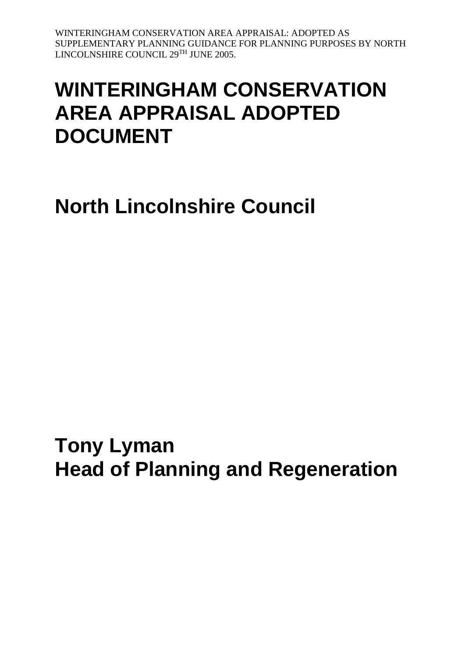# **WINTERINGHAM CONSERVATION AREA APPRAISAL ADOPTED DOCUMENT**

# **North Lincolnshire Council**

**Tony Lyman Head of Planning and Regeneration**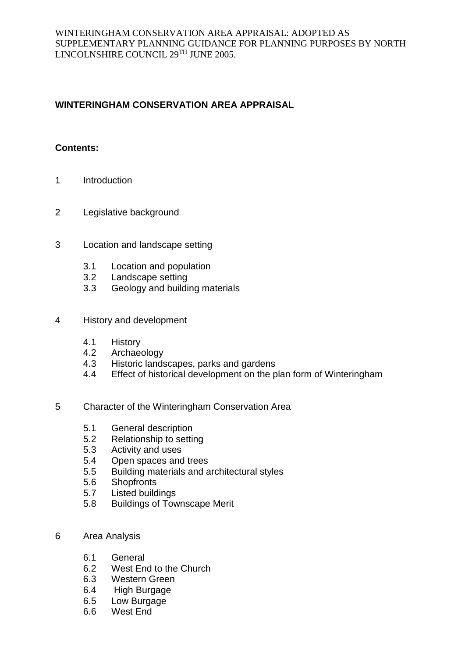## **WINTERINGHAM CONSERVATION AREA APPRAISAL**

## **Contents:**

- 1 Introduction
- 2 Legislative background
- 3 Location and landscape setting
	- 3.1 Location and population
	- 3.2 Landscape setting
	- 3.3 Geology and building materials
- 4 History and development
	- 4.1 History
	- 4.2 Archaeology
	- 4.3 Historic landscapes, parks and gardens
	- 4.4 Effect of historical development on the plan form of Winteringham
- 5 Character of the Winteringham Conservation Area
	- 5.1 General description
	- 5.2 Relationship to setting
	- 5.3 Activity and uses
	- 5.4 Open spaces and trees
	- 5.5 Building materials and architectural styles
	- 5.6 Shopfronts
	- 5.7 Listed buildings
	- 5.8 Buildings of Townscape Merit
- 6 Area Analysis
	- 6.1 General
	- 6.2 West End to the Church
	- 6.3 Western Green
	- 6.4 High Burgage
	- 6.5 Low Burgage
	- 6.6 West End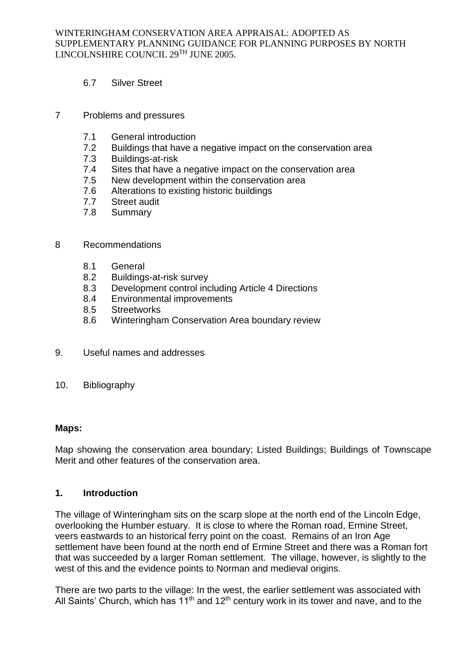- 6.7 Silver Street
- 7 Problems and pressures
	- 7.1 General introduction
	- 7.2 Buildings that have a negative impact on the conservation area
	- 7.3 Buildings-at-risk
	- 7.4 Sites that have a negative impact on the conservation area
	- 7.5 New development within the conservation area
	- 7.6 Alterations to existing historic buildings
	- 7.7 Street audit
	- 7.8 Summary
- 8 Recommendations
	- 8.1 General
	- 8.2 Buildings-at-risk survey
	- 8.3 Development control including Article 4 Directions
	- 8.4 Environmental improvements
	- 8.5 Streetworks
	- 8.6 Winteringham Conservation Area boundary review
- 9. Useful names and addresses
- 10. Bibliography

#### **Maps:**

Map showing the conservation area boundary; Listed Buildings; Buildings of Townscape Merit and other features of the conservation area.

### **1. Introduction**

The village of Winteringham sits on the scarp slope at the north end of the Lincoln Edge, overlooking the Humber estuary. It is close to where the Roman road, Ermine Street, veers eastwards to an historical ferry point on the coast. Remains of an Iron Age settlement have been found at the north end of Ermine Street and there was a Roman fort that was succeeded by a larger Roman settlement. The village, however, is slightly to the west of this and the evidence points to Norman and medieval origins.

There are two parts to the village: In the west, the earlier settlement was associated with All Saints' Church, which has  $11<sup>th</sup>$  and  $12<sup>th</sup>$  century work in its tower and nave, and to the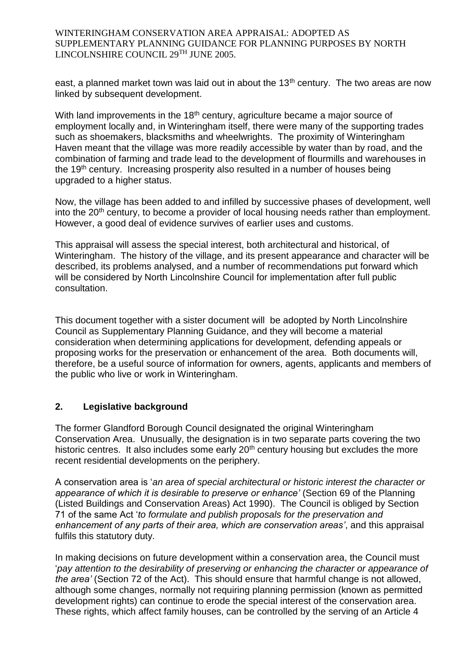east, a planned market town was laid out in about the 13<sup>th</sup> century. The two areas are now linked by subsequent development.

With land improvements in the 18<sup>th</sup> century, agriculture became a major source of employment locally and, in Winteringham itself, there were many of the supporting trades such as shoemakers, blacksmiths and wheelwrights. The proximity of Winteringham Haven meant that the village was more readily accessible by water than by road, and the combination of farming and trade lead to the development of flourmills and warehouses in the 19th century. Increasing prosperity also resulted in a number of houses being upgraded to a higher status.

Now, the village has been added to and infilled by successive phases of development, well into the  $20<sup>th</sup>$  century, to become a provider of local housing needs rather than employment. However, a good deal of evidence survives of earlier uses and customs.

This appraisal will assess the special interest, both architectural and historical, of Winteringham. The history of the village, and its present appearance and character will be described, its problems analysed, and a number of recommendations put forward which will be considered by North Lincolnshire Council for implementation after full public consultation.

This document together with a sister document will be adopted by North Lincolnshire Council as Supplementary Planning Guidance, and they will become a material consideration when determining applications for development, defending appeals or proposing works for the preservation or enhancement of the area. Both documents will, therefore, be a useful source of information for owners, agents, applicants and members of the public who live or work in Winteringham.

# **2. Legislative background**

The former Glandford Borough Council designated the original Winteringham Conservation Area. Unusually, the designation is in two separate parts covering the two historic centres. It also includes some early  $20<sup>th</sup>$  century housing but excludes the more recent residential developments on the periphery.

A conservation area is '*an area of special architectural or historic interest the character or appearance of which it is desirable to preserve or enhance'* (Section 69 of the Planning (Listed Buildings and Conservation Areas) Act 1990). The Council is obliged by Section 71 of the same Act '*to formulate and publish proposals for the preservation and enhancement of any parts of their area, which are conservation areas'*, and this appraisal fulfils this statutory duty.

In making decisions on future development within a conservation area, the Council must '*pay attention to the desirability of preserving or enhancing the character or appearance of the area'* (Section 72 of the Act). This should ensure that harmful change is not allowed, although some changes, normally not requiring planning permission (known as permitted development rights) can continue to erode the special interest of the conservation area. These rights, which affect family houses, can be controlled by the serving of an Article 4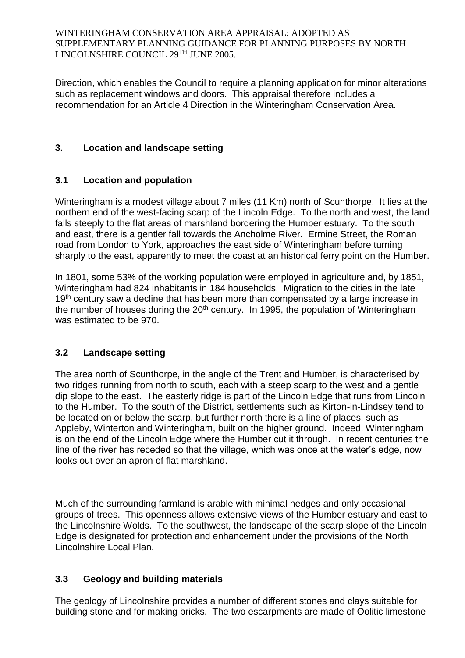Direction, which enables the Council to require a planning application for minor alterations such as replacement windows and doors. This appraisal therefore includes a recommendation for an Article 4 Direction in the Winteringham Conservation Area.

# **3. Location and landscape setting**

# **3.1 Location and population**

Winteringham is a modest village about 7 miles (11 Km) north of Scunthorpe. It lies at the northern end of the west-facing scarp of the Lincoln Edge. To the north and west, the land falls steeply to the flat areas of marshland bordering the Humber estuary. To the south and east, there is a gentler fall towards the Ancholme River. Ermine Street, the Roman road from London to York, approaches the east side of Winteringham before turning sharply to the east, apparently to meet the coast at an historical ferry point on the Humber.

In 1801, some 53% of the working population were employed in agriculture and, by 1851, Winteringham had 824 inhabitants in 184 households. Migration to the cities in the late 19<sup>th</sup> century saw a decline that has been more than compensated by a large increase in the number of houses during the 20<sup>th</sup> century. In 1995, the population of Winteringham was estimated to be 970.

# **3.2 Landscape setting**

The area north of Scunthorpe, in the angle of the Trent and Humber, is characterised by two ridges running from north to south, each with a steep scarp to the west and a gentle dip slope to the east. The easterly ridge is part of the Lincoln Edge that runs from Lincoln to the Humber. To the south of the District, settlements such as Kirton-in-Lindsey tend to be located on or below the scarp, but further north there is a line of places, such as Appleby, Winterton and Winteringham, built on the higher ground. Indeed, Winteringham is on the end of the Lincoln Edge where the Humber cut it through. In recent centuries the line of the river has receded so that the village, which was once at the water's edge, now looks out over an apron of flat marshland.

Much of the surrounding farmland is arable with minimal hedges and only occasional groups of trees. This openness allows extensive views of the Humber estuary and east to the Lincolnshire Wolds. To the southwest, the landscape of the scarp slope of the Lincoln Edge is designated for protection and enhancement under the provisions of the North Lincolnshire Local Plan.

# **3.3 Geology and building materials**

The geology of Lincolnshire provides a number of different stones and clays suitable for building stone and for making bricks. The two escarpments are made of Oolitic limestone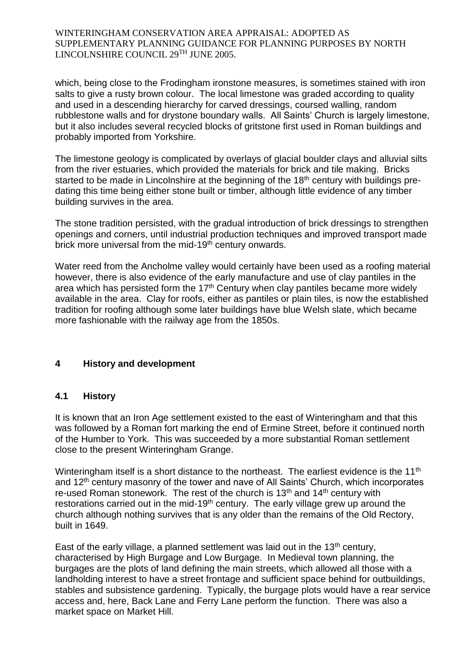which, being close to the Frodingham ironstone measures, is sometimes stained with iron salts to give a rusty brown colour. The local limestone was graded according to quality and used in a descending hierarchy for carved dressings, coursed walling, random rubblestone walls and for drystone boundary walls. All Saints' Church is largely limestone, but it also includes several recycled blocks of gritstone first used in Roman buildings and probably imported from Yorkshire.

The limestone geology is complicated by overlays of glacial boulder clays and alluvial silts from the river estuaries, which provided the materials for brick and tile making. Bricks started to be made in Lincolnshire at the beginning of the 18<sup>th</sup> century with buildings predating this time being either stone built or timber, although little evidence of any timber building survives in the area.

The stone tradition persisted, with the gradual introduction of brick dressings to strengthen openings and corners, until industrial production techniques and improved transport made brick more universal from the mid-19<sup>th</sup> century onwards.

Water reed from the Ancholme valley would certainly have been used as a roofing material however, there is also evidence of the early manufacture and use of clay pantiles in the area which has persisted form the 17<sup>th</sup> Century when clay pantiles became more widely available in the area. Clay for roofs, either as pantiles or plain tiles, is now the established tradition for roofing although some later buildings have blue Welsh slate, which became more fashionable with the railway age from the 1850s.

# **4 History and development**

# **4.1 History**

It is known that an Iron Age settlement existed to the east of Winteringham and that this was followed by a Roman fort marking the end of Ermine Street, before it continued north of the Humber to York. This was succeeded by a more substantial Roman settlement close to the present Winteringham Grange.

Winteringham itself is a short distance to the northeast. The earliest evidence is the 11<sup>th</sup> and 12<sup>th</sup> century masonry of the tower and nave of All Saints' Church, which incorporates re-used Roman stonework. The rest of the church is  $13<sup>th</sup>$  and  $14<sup>th</sup>$  century with restorations carried out in the mid-19<sup>th</sup> century. The early village grew up around the church although nothing survives that is any older than the remains of the Old Rectory, built in 1649.

East of the early village, a planned settlement was laid out in the  $13<sup>th</sup>$  century, characterised by High Burgage and Low Burgage. In Medieval town planning, the burgages are the plots of land defining the main streets, which allowed all those with a landholding interest to have a street frontage and sufficient space behind for outbuildings, stables and subsistence gardening. Typically, the burgage plots would have a rear service access and, here, Back Lane and Ferry Lane perform the function. There was also a market space on Market Hill.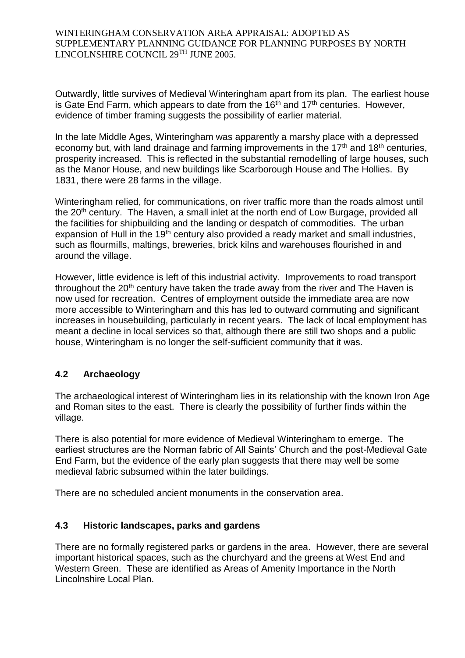Outwardly, little survives of Medieval Winteringham apart from its plan. The earliest house is Gate End Farm, which appears to date from the  $16<sup>th</sup>$  and  $17<sup>th</sup>$  centuries. However, evidence of timber framing suggests the possibility of earlier material.

In the late Middle Ages, Winteringham was apparently a marshy place with a depressed economy but, with land drainage and farming improvements in the  $17<sup>th</sup>$  and  $18<sup>th</sup>$  centuries, prosperity increased. This is reflected in the substantial remodelling of large houses, such as the Manor House, and new buildings like Scarborough House and The Hollies. By 1831, there were 28 farms in the village.

Winteringham relied, for communications, on river traffic more than the roads almost until the 20<sup>th</sup> century. The Haven, a small inlet at the north end of Low Burgage, provided all the facilities for shipbuilding and the landing or despatch of commodities. The urban expansion of Hull in the 19<sup>th</sup> century also provided a ready market and small industries, such as flourmills, maltings, breweries, brick kilns and warehouses flourished in and around the village.

However, little evidence is left of this industrial activity. Improvements to road transport throughout the  $20<sup>th</sup>$  century have taken the trade away from the river and The Haven is now used for recreation. Centres of employment outside the immediate area are now more accessible to Winteringham and this has led to outward commuting and significant increases in housebuilding, particularly in recent years. The lack of local employment has meant a decline in local services so that, although there are still two shops and a public house, Winteringham is no longer the self-sufficient community that it was.

# **4.2 Archaeology**

The archaeological interest of Winteringham lies in its relationship with the known Iron Age and Roman sites to the east. There is clearly the possibility of further finds within the village.

There is also potential for more evidence of Medieval Winteringham to emerge. The earliest structures are the Norman fabric of All Saints' Church and the post-Medieval Gate End Farm, but the evidence of the early plan suggests that there may well be some medieval fabric subsumed within the later buildings.

There are no scheduled ancient monuments in the conservation area.

## **4.3 Historic landscapes, parks and gardens**

There are no formally registered parks or gardens in the area. However, there are several important historical spaces, such as the churchyard and the greens at West End and Western Green. These are identified as Areas of Amenity Importance in the North Lincolnshire Local Plan.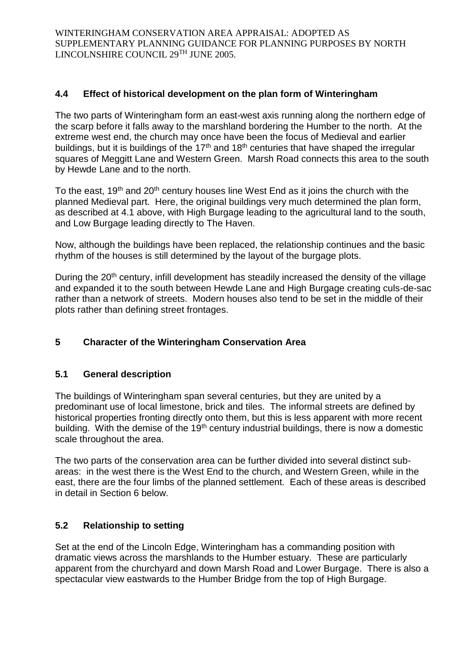# **4.4 Effect of historical development on the plan form of Winteringham**

The two parts of Winteringham form an east-west axis running along the northern edge of the scarp before it falls away to the marshland bordering the Humber to the north. At the extreme west end, the church may once have been the focus of Medieval and earlier buildings, but it is buildings of the  $17<sup>th</sup>$  and  $18<sup>th</sup>$  centuries that have shaped the irregular squares of Meggitt Lane and Western Green. Marsh Road connects this area to the south by Hewde Lane and to the north.

To the east, 19<sup>th</sup> and 20<sup>th</sup> century houses line West End as it joins the church with the planned Medieval part. Here, the original buildings very much determined the plan form, as described at 4.1 above, with High Burgage leading to the agricultural land to the south, and Low Burgage leading directly to The Haven.

Now, although the buildings have been replaced, the relationship continues and the basic rhythm of the houses is still determined by the layout of the burgage plots.

During the 20<sup>th</sup> century, infill development has steadily increased the density of the village and expanded it to the south between Hewde Lane and High Burgage creating culs-de-sac rather than a network of streets. Modern houses also tend to be set in the middle of their plots rather than defining street frontages.

# **5 Character of the Winteringham Conservation Area**

# **5.1 General description**

The buildings of Winteringham span several centuries, but they are united by a predominant use of local limestone, brick and tiles. The informal streets are defined by historical properties fronting directly onto them, but this is less apparent with more recent building. With the demise of the 19<sup>th</sup> century industrial buildings, there is now a domestic scale throughout the area.

The two parts of the conservation area can be further divided into several distinct subareas: in the west there is the West End to the church, and Western Green, while in the east, there are the four limbs of the planned settlement. Each of these areas is described in detail in Section 6 below.

# **5.2 Relationship to setting**

Set at the end of the Lincoln Edge, Winteringham has a commanding position with dramatic views across the marshlands to the Humber estuary. These are particularly apparent from the churchyard and down Marsh Road and Lower Burgage. There is also a spectacular view eastwards to the Humber Bridge from the top of High Burgage.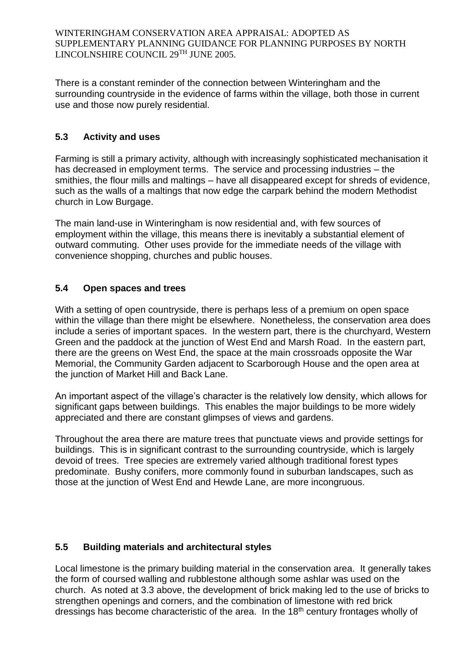There is a constant reminder of the connection between Winteringham and the surrounding countryside in the evidence of farms within the village, both those in current use and those now purely residential.

# **5.3 Activity and uses**

Farming is still a primary activity, although with increasingly sophisticated mechanisation it has decreased in employment terms. The service and processing industries – the smithies, the flour mills and maltings – have all disappeared except for shreds of evidence, such as the walls of a maltings that now edge the carpark behind the modern Methodist church in Low Burgage.

The main land-use in Winteringham is now residential and, with few sources of employment within the village, this means there is inevitably a substantial element of outward commuting. Other uses provide for the immediate needs of the village with convenience shopping, churches and public houses.

# **5.4 Open spaces and trees**

With a setting of open countryside, there is perhaps less of a premium on open space within the village than there might be elsewhere. Nonetheless, the conservation area does include a series of important spaces. In the western part, there is the churchyard, Western Green and the paddock at the junction of West End and Marsh Road. In the eastern part, there are the greens on West End, the space at the main crossroads opposite the War Memorial, the Community Garden adjacent to Scarborough House and the open area at the junction of Market Hill and Back Lane.

An important aspect of the village's character is the relatively low density, which allows for significant gaps between buildings. This enables the major buildings to be more widely appreciated and there are constant glimpses of views and gardens.

Throughout the area there are mature trees that punctuate views and provide settings for buildings. This is in significant contrast to the surrounding countryside, which is largely devoid of trees. Tree species are extremely varied although traditional forest types predominate. Bushy conifers, more commonly found in suburban landscapes, such as those at the junction of West End and Hewde Lane, are more incongruous.

# **5.5 Building materials and architectural styles**

Local limestone is the primary building material in the conservation area. It generally takes the form of coursed walling and rubblestone although some ashlar was used on the church. As noted at 3.3 above, the development of brick making led to the use of bricks to strengthen openings and corners, and the combination of limestone with red brick dressings has become characteristic of the area. In the 18th century frontages wholly of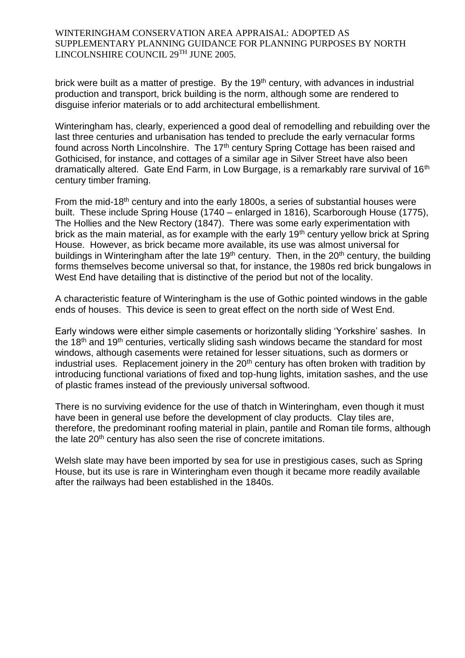brick were built as a matter of prestige. By the 19<sup>th</sup> century, with advances in industrial production and transport, brick building is the norm, although some are rendered to disguise inferior materials or to add architectural embellishment.

Winteringham has, clearly, experienced a good deal of remodelling and rebuilding over the last three centuries and urbanisation has tended to preclude the early vernacular forms found across North Lincolnshire. The 17<sup>th</sup> century Spring Cottage has been raised and Gothicised, for instance, and cottages of a similar age in Silver Street have also been dramatically altered. Gate End Farm, in Low Burgage, is a remarkably rare survival of 16<sup>th</sup> century timber framing.

From the mid-18<sup>th</sup> century and into the early 1800s, a series of substantial houses were built. These include Spring House (1740 – enlarged in 1816), Scarborough House (1775), The Hollies and the New Rectory (1847). There was some early experimentation with brick as the main material, as for example with the early 19<sup>th</sup> century yellow brick at Spring House. However, as brick became more available, its use was almost universal for buildings in Winteringham after the late 19<sup>th</sup> century. Then, in the 20<sup>th</sup> century, the building forms themselves become universal so that, for instance, the 1980s red brick bungalows in West End have detailing that is distinctive of the period but not of the locality.

A characteristic feature of Winteringham is the use of Gothic pointed windows in the gable ends of houses. This device is seen to great effect on the north side of West End.

Early windows were either simple casements or horizontally sliding 'Yorkshire' sashes. In the 18<sup>th</sup> and 19<sup>th</sup> centuries, vertically sliding sash windows became the standard for most windows, although casements were retained for lesser situations, such as dormers or industrial uses. Replacement joinery in the  $20<sup>th</sup>$  century has often broken with tradition by introducing functional variations of fixed and top-hung lights, imitation sashes, and the use of plastic frames instead of the previously universal softwood.

There is no surviving evidence for the use of thatch in Winteringham, even though it must have been in general use before the development of clay products. Clay tiles are, therefore, the predominant roofing material in plain, pantile and Roman tile forms, although the late  $20<sup>th</sup>$  century has also seen the rise of concrete imitations.

Welsh slate may have been imported by sea for use in prestigious cases, such as Spring House, but its use is rare in Winteringham even though it became more readily available after the railways had been established in the 1840s.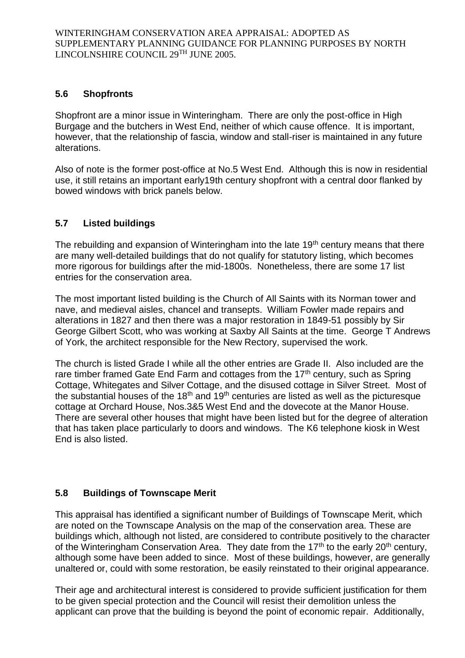# **5.6 Shopfronts**

Shopfront are a minor issue in Winteringham. There are only the post-office in High Burgage and the butchers in West End, neither of which cause offence. It is important, however, that the relationship of fascia, window and stall-riser is maintained in any future alterations.

Also of note is the former post-office at No.5 West End. Although this is now in residential use, it still retains an important early19th century shopfront with a central door flanked by bowed windows with brick panels below.

# **5.7 Listed buildings**

The rebuilding and expansion of Winteringham into the late 19<sup>th</sup> century means that there are many well-detailed buildings that do not qualify for statutory listing, which becomes more rigorous for buildings after the mid-1800s. Nonetheless, there are some 17 list entries for the conservation area.

The most important listed building is the Church of All Saints with its Norman tower and nave, and medieval aisles, chancel and transepts. William Fowler made repairs and alterations in 1827 and then there was a major restoration in 1849-51 possibly by Sir George Gilbert Scott, who was working at Saxby All Saints at the time. George T Andrews of York, the architect responsible for the New Rectory, supervised the work.

The church is listed Grade I while all the other entries are Grade II. Also included are the rare timber framed Gate End Farm and cottages from the 17<sup>th</sup> century, such as Spring Cottage, Whitegates and Silver Cottage, and the disused cottage in Silver Street. Most of the substantial houses of the 18<sup>th</sup> and 19<sup>th</sup> centuries are listed as well as the picturesque cottage at Orchard House, Nos.3&5 West End and the dovecote at the Manor House. There are several other houses that might have been listed but for the degree of alteration that has taken place particularly to doors and windows. The K6 telephone kiosk in West End is also listed.

# **5.8 Buildings of Townscape Merit**

This appraisal has identified a significant number of Buildings of Townscape Merit, which are noted on the Townscape Analysis on the map of the conservation area. These are buildings which, although not listed, are considered to contribute positively to the character of the Winteringham Conservation Area. They date from the  $17<sup>th</sup>$  to the early  $20<sup>th</sup>$  century, although some have been added to since. Most of these buildings, however, are generally unaltered or, could with some restoration, be easily reinstated to their original appearance.

Their age and architectural interest is considered to provide sufficient justification for them to be given special protection and the Council will resist their demolition unless the applicant can prove that the building is beyond the point of economic repair. Additionally,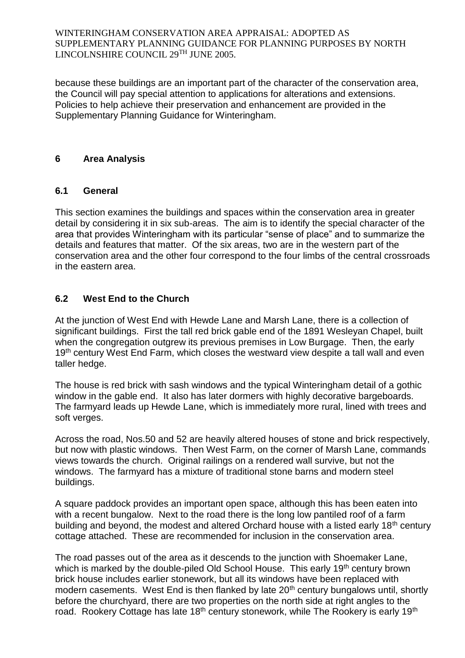because these buildings are an important part of the character of the conservation area, the Council will pay special attention to applications for alterations and extensions. Policies to help achieve their preservation and enhancement are provided in the Supplementary Planning Guidance for Winteringham.

# **6 Area Analysis**

## **6.1 General**

This section examines the buildings and spaces within the conservation area in greater detail by considering it in six sub-areas. The aim is to identify the special character of the area that provides Winteringham with its particular "sense of place" and to summarize the details and features that matter. Of the six areas, two are in the western part of the conservation area and the other four correspond to the four limbs of the central crossroads in the eastern area.

# **6.2 West End to the Church**

At the junction of West End with Hewde Lane and Marsh Lane, there is a collection of significant buildings. First the tall red brick gable end of the 1891 Wesleyan Chapel, built when the congregation outgrew its previous premises in Low Burgage. Then, the early 19<sup>th</sup> century West End Farm, which closes the westward view despite a tall wall and even taller hedge.

The house is red brick with sash windows and the typical Winteringham detail of a gothic window in the gable end. It also has later dormers with highly decorative bargeboards. The farmyard leads up Hewde Lane, which is immediately more rural, lined with trees and soft verges.

Across the road, Nos.50 and 52 are heavily altered houses of stone and brick respectively, but now with plastic windows. Then West Farm, on the corner of Marsh Lane, commands views towards the church. Original railings on a rendered wall survive, but not the windows. The farmyard has a mixture of traditional stone barns and modern steel buildings.

A square paddock provides an important open space, although this has been eaten into with a recent bungalow. Next to the road there is the long low pantiled roof of a farm building and beyond, the modest and altered Orchard house with a listed early 18<sup>th</sup> century cottage attached. These are recommended for inclusion in the conservation area.

The road passes out of the area as it descends to the junction with Shoemaker Lane, which is marked by the double-piled Old School House. This early 19<sup>th</sup> century brown brick house includes earlier stonework, but all its windows have been replaced with modern casements. West End is then flanked by late 20<sup>th</sup> century bungalows until, shortly before the churchyard, there are two properties on the north side at right angles to the road. Rookery Cottage has late 18<sup>th</sup> century stonework, while The Rookery is early 19<sup>th</sup>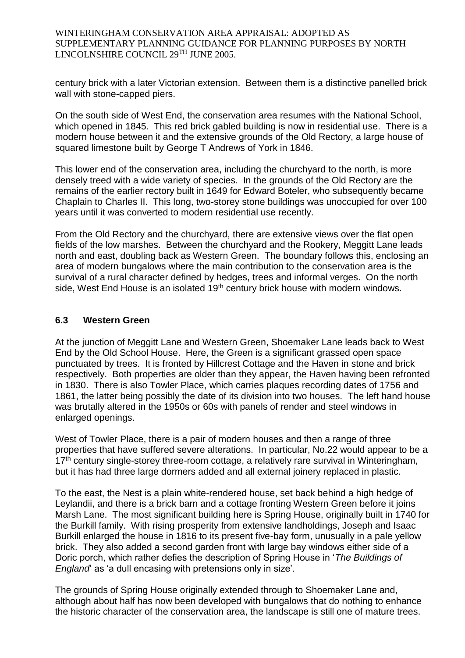century brick with a later Victorian extension. Between them is a distinctive panelled brick wall with stone-capped piers.

On the south side of West End, the conservation area resumes with the National School, which opened in 1845. This red brick gabled building is now in residential use. There is a modern house between it and the extensive grounds of the Old Rectory, a large house of squared limestone built by George T Andrews of York in 1846.

This lower end of the conservation area, including the churchyard to the north, is more densely treed with a wide variety of species. In the grounds of the Old Rectory are the remains of the earlier rectory built in 1649 for Edward Boteler, who subsequently became Chaplain to Charles II. This long, two-storey stone buildings was unoccupied for over 100 years until it was converted to modern residential use recently.

From the Old Rectory and the churchyard, there are extensive views over the flat open fields of the low marshes. Between the churchyard and the Rookery, Meggitt Lane leads north and east, doubling back as Western Green. The boundary follows this, enclosing an area of modern bungalows where the main contribution to the conservation area is the survival of a rural character defined by hedges, trees and informal verges. On the north side, West End House is an isolated 19<sup>th</sup> century brick house with modern windows.

## **6.3 Western Green**

At the junction of Meggitt Lane and Western Green, Shoemaker Lane leads back to West End by the Old School House. Here, the Green is a significant grassed open space punctuated by trees. It is fronted by Hillcrest Cottage and the Haven in stone and brick respectively. Both properties are older than they appear, the Haven having been refronted in 1830. There is also Towler Place, which carries plaques recording dates of 1756 and 1861, the latter being possibly the date of its division into two houses. The left hand house was brutally altered in the 1950s or 60s with panels of render and steel windows in enlarged openings.

West of Towler Place, there is a pair of modern houses and then a range of three properties that have suffered severe alterations. In particular, No.22 would appear to be a 17<sup>th</sup> century single-storey three-room cottage, a relatively rare survival in Winteringham, but it has had three large dormers added and all external joinery replaced in plastic.

To the east, the Nest is a plain white-rendered house, set back behind a high hedge of Leylandii, and there is a brick barn and a cottage fronting Western Green before it joins Marsh Lane. The most significant building here is Spring House, originally built in 1740 for the Burkill family. With rising prosperity from extensive landholdings, Joseph and Isaac Burkill enlarged the house in 1816 to its present five-bay form, unusually in a pale yellow brick. They also added a second garden front with large bay windows either side of a Doric porch, which rather defies the description of Spring House in '*The Buildings of England*' as 'a dull encasing with pretensions only in size'.

The grounds of Spring House originally extended through to Shoemaker Lane and, although about half has now been developed with bungalows that do nothing to enhance the historic character of the conservation area, the landscape is still one of mature trees.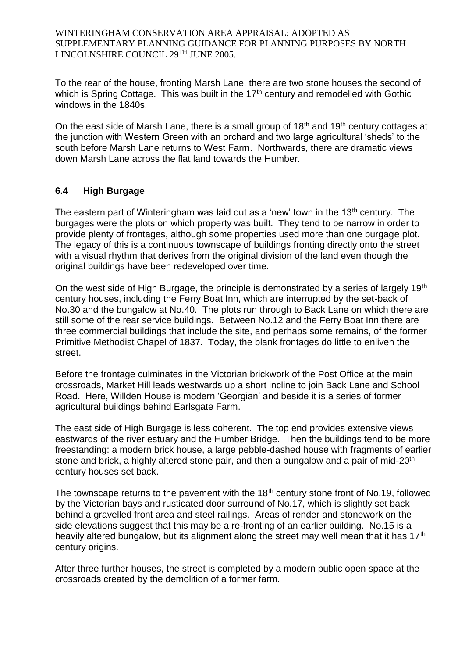To the rear of the house, fronting Marsh Lane, there are two stone houses the second of which is Spring Cottage. This was built in the  $17<sup>th</sup>$  century and remodelled with Gothic windows in the 1840s.

On the east side of Marsh Lane, there is a small group of  $18<sup>th</sup>$  and  $19<sup>th</sup>$  century cottages at the junction with Western Green with an orchard and two large agricultural 'sheds' to the south before Marsh Lane returns to West Farm. Northwards, there are dramatic views down Marsh Lane across the flat land towards the Humber.

# **6.4 High Burgage**

The eastern part of Winteringham was laid out as a 'new' town in the  $13<sup>th</sup>$  century. The burgages were the plots on which property was built. They tend to be narrow in order to provide plenty of frontages, although some properties used more than one burgage plot. The legacy of this is a continuous townscape of buildings fronting directly onto the street with a visual rhythm that derives from the original division of the land even though the original buildings have been redeveloped over time.

On the west side of High Burgage, the principle is demonstrated by a series of largely 19<sup>th</sup> century houses, including the Ferry Boat Inn, which are interrupted by the set-back of No.30 and the bungalow at No.40. The plots run through to Back Lane on which there are still some of the rear service buildings. Between No.12 and the Ferry Boat Inn there are three commercial buildings that include the site, and perhaps some remains, of the former Primitive Methodist Chapel of 1837. Today, the blank frontages do little to enliven the street.

Before the frontage culminates in the Victorian brickwork of the Post Office at the main crossroads, Market Hill leads westwards up a short incline to join Back Lane and School Road. Here, Willden House is modern 'Georgian' and beside it is a series of former agricultural buildings behind Earlsgate Farm.

The east side of High Burgage is less coherent. The top end provides extensive views eastwards of the river estuary and the Humber Bridge. Then the buildings tend to be more freestanding: a modern brick house, a large pebble-dashed house with fragments of earlier stone and brick, a highly altered stone pair, and then a bungalow and a pair of mid-20<sup>th</sup> century houses set back.

The townscape returns to the pavement with the 18<sup>th</sup> century stone front of No.19, followed by the Victorian bays and rusticated door surround of No.17, which is slightly set back behind a gravelled front area and steel railings. Areas of render and stonework on the side elevations suggest that this may be a re-fronting of an earlier building. No.15 is a heavily altered bungalow, but its alignment along the street may well mean that it has 17<sup>th</sup> century origins.

After three further houses, the street is completed by a modern public open space at the crossroads created by the demolition of a former farm.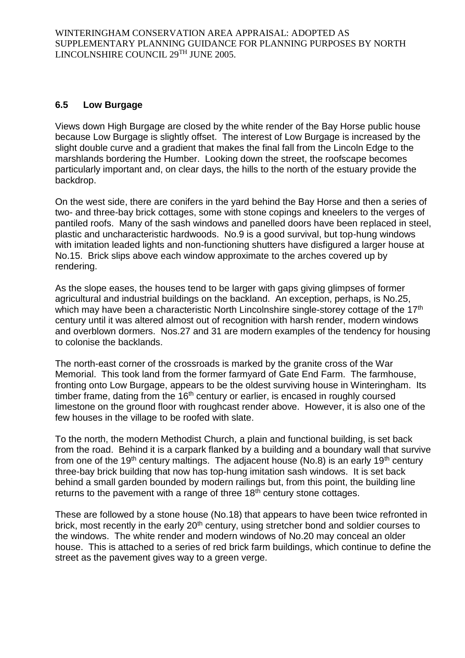## **6.5 Low Burgage**

Views down High Burgage are closed by the white render of the Bay Horse public house because Low Burgage is slightly offset. The interest of Low Burgage is increased by the slight double curve and a gradient that makes the final fall from the Lincoln Edge to the marshlands bordering the Humber. Looking down the street, the roofscape becomes particularly important and, on clear days, the hills to the north of the estuary provide the backdrop.

On the west side, there are conifers in the yard behind the Bay Horse and then a series of two- and three-bay brick cottages, some with stone copings and kneelers to the verges of pantiled roofs. Many of the sash windows and panelled doors have been replaced in steel, plastic and uncharacteristic hardwoods. No.9 is a good survival, but top-hung windows with imitation leaded lights and non-functioning shutters have disfigured a larger house at No.15. Brick slips above each window approximate to the arches covered up by rendering.

As the slope eases, the houses tend to be larger with gaps giving glimpses of former agricultural and industrial buildings on the backland. An exception, perhaps, is No.25, which may have been a characteristic North Lincolnshire single-storey cottage of the 17<sup>th</sup> century until it was altered almost out of recognition with harsh render, modern windows and overblown dormers. Nos.27 and 31 are modern examples of the tendency for housing to colonise the backlands.

The north-east corner of the crossroads is marked by the granite cross of the War Memorial. This took land from the former farmyard of Gate End Farm. The farmhouse, fronting onto Low Burgage, appears to be the oldest surviving house in Winteringham. Its timber frame, dating from the  $16<sup>th</sup>$  century or earlier, is encased in roughly coursed limestone on the ground floor with roughcast render above. However, it is also one of the few houses in the village to be roofed with slate.

To the north, the modern Methodist Church, a plain and functional building, is set back from the road. Behind it is a carpark flanked by a building and a boundary wall that survive from one of the 19<sup>th</sup> century maltings. The adjacent house (No.8) is an early 19<sup>th</sup> century three-bay brick building that now has top-hung imitation sash windows. It is set back behind a small garden bounded by modern railings but, from this point, the building line returns to the pavement with a range of three  $18<sup>th</sup>$  century stone cottages.

These are followed by a stone house (No.18) that appears to have been twice refronted in brick, most recently in the early 20<sup>th</sup> century, using stretcher bond and soldier courses to the windows. The white render and modern windows of No.20 may conceal an older house. This is attached to a series of red brick farm buildings, which continue to define the street as the pavement gives way to a green verge.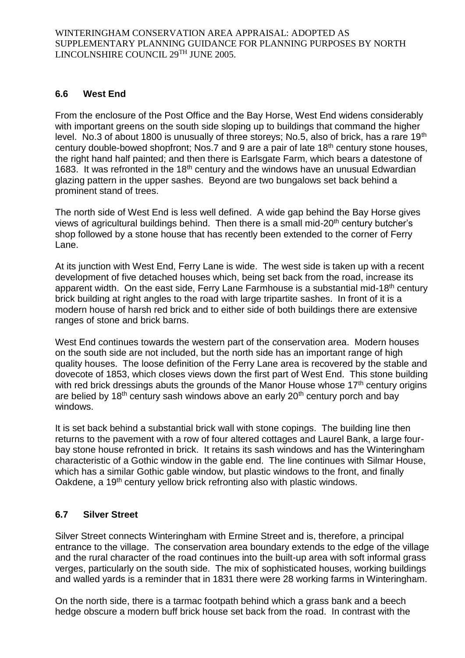# **6.6 West End**

From the enclosure of the Post Office and the Bay Horse, West End widens considerably with important greens on the south side sloping up to buildings that command the higher level. No.3 of about 1800 is unusually of three storeys; No.5, also of brick, has a rare 19<sup>th</sup> century double-bowed shopfront; Nos.7 and 9 are a pair of late 18<sup>th</sup> century stone houses, the right hand half painted; and then there is Earlsgate Farm, which bears a datestone of 1683. It was refronted in the 18<sup>th</sup> century and the windows have an unusual Edwardian glazing pattern in the upper sashes. Beyond are two bungalows set back behind a prominent stand of trees.

The north side of West End is less well defined. A wide gap behind the Bay Horse gives views of agricultural buildings behind. Then there is a small mid-20<sup>th</sup> century butcher's shop followed by a stone house that has recently been extended to the corner of Ferry Lane.

At its junction with West End, Ferry Lane is wide. The west side is taken up with a recent development of five detached houses which, being set back from the road, increase its apparent width. On the east side, Ferry Lane Farmhouse is a substantial mid-18<sup>th</sup> century brick building at right angles to the road with large tripartite sashes. In front of it is a modern house of harsh red brick and to either side of both buildings there are extensive ranges of stone and brick barns.

West End continues towards the western part of the conservation area. Modern houses on the south side are not included, but the north side has an important range of high quality houses. The loose definition of the Ferry Lane area is recovered by the stable and dovecote of 1853, which closes views down the first part of West End. This stone building with red brick dressings abuts the grounds of the Manor House whose  $17<sup>th</sup>$  century origins are belied by 18<sup>th</sup> century sash windows above an early 20<sup>th</sup> century porch and bay windows.

It is set back behind a substantial brick wall with stone copings. The building line then returns to the pavement with a row of four altered cottages and Laurel Bank, a large fourbay stone house refronted in brick. It retains its sash windows and has the Winteringham characteristic of a Gothic window in the gable end. The line continues with Silmar House, which has a similar Gothic gable window, but plastic windows to the front, and finally Oakdene, a 19<sup>th</sup> century yellow brick refronting also with plastic windows.

# **6.7 Silver Street**

Silver Street connects Winteringham with Ermine Street and is, therefore, a principal entrance to the village. The conservation area boundary extends to the edge of the village and the rural character of the road continues into the built-up area with soft informal grass verges, particularly on the south side. The mix of sophisticated houses, working buildings and walled yards is a reminder that in 1831 there were 28 working farms in Winteringham.

On the north side, there is a tarmac footpath behind which a grass bank and a beech hedge obscure a modern buff brick house set back from the road. In contrast with the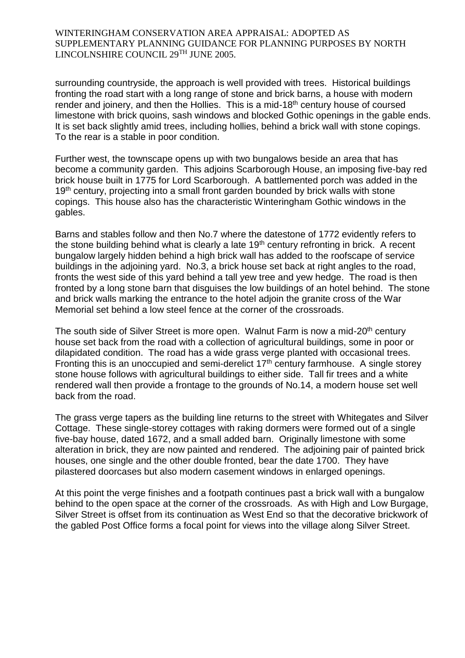surrounding countryside, the approach is well provided with trees. Historical buildings fronting the road start with a long range of stone and brick barns, a house with modern render and joinery, and then the Hollies. This is a mid-18<sup>th</sup> century house of coursed limestone with brick quoins, sash windows and blocked Gothic openings in the gable ends. It is set back slightly amid trees, including hollies, behind a brick wall with stone copings. To the rear is a stable in poor condition.

Further west, the townscape opens up with two bungalows beside an area that has become a community garden. This adjoins Scarborough House, an imposing five-bay red brick house built in 1775 for Lord Scarborough. A battlemented porch was added in the 19<sup>th</sup> century, projecting into a small front garden bounded by brick walls with stone copings. This house also has the characteristic Winteringham Gothic windows in the gables.

Barns and stables follow and then No.7 where the datestone of 1772 evidently refers to the stone building behind what is clearly a late 19<sup>th</sup> century refronting in brick. A recent bungalow largely hidden behind a high brick wall has added to the roofscape of service buildings in the adjoining yard. No.3, a brick house set back at right angles to the road, fronts the west side of this yard behind a tall yew tree and yew hedge. The road is then fronted by a long stone barn that disguises the low buildings of an hotel behind. The stone and brick walls marking the entrance to the hotel adjoin the granite cross of the War Memorial set behind a low steel fence at the corner of the crossroads.

The south side of Silver Street is more open. Walnut Farm is now a mid-20<sup>th</sup> century house set back from the road with a collection of agricultural buildings, some in poor or dilapidated condition. The road has a wide grass verge planted with occasional trees. Fronting this is an unoccupied and semi-derelict 17<sup>th</sup> century farmhouse. A single storey stone house follows with agricultural buildings to either side. Tall fir trees and a white rendered wall then provide a frontage to the grounds of No.14, a modern house set well back from the road.

The grass verge tapers as the building line returns to the street with Whitegates and Silver Cottage. These single-storey cottages with raking dormers were formed out of a single five-bay house, dated 1672, and a small added barn. Originally limestone with some alteration in brick, they are now painted and rendered. The adjoining pair of painted brick houses, one single and the other double fronted, bear the date 1700. They have pilastered doorcases but also modern casement windows in enlarged openings.

At this point the verge finishes and a footpath continues past a brick wall with a bungalow behind to the open space at the corner of the crossroads. As with High and Low Burgage, Silver Street is offset from its continuation as West End so that the decorative brickwork of the gabled Post Office forms a focal point for views into the village along Silver Street.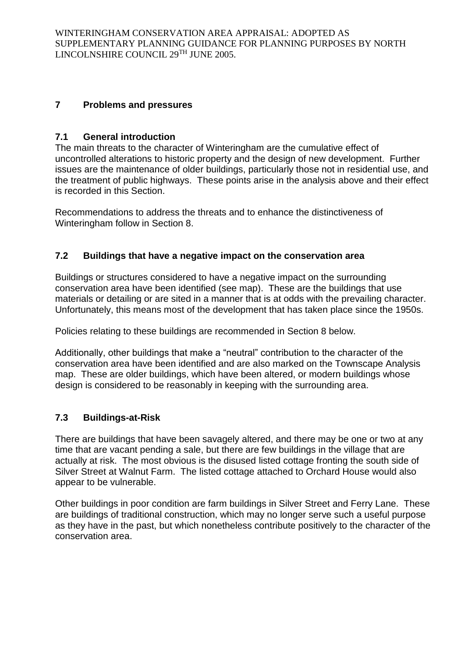## **7 Problems and pressures**

## **7.1 General introduction**

The main threats to the character of Winteringham are the cumulative effect of uncontrolled alterations to historic property and the design of new development. Further issues are the maintenance of older buildings, particularly those not in residential use, and the treatment of public highways. These points arise in the analysis above and their effect is recorded in this Section.

Recommendations to address the threats and to enhance the distinctiveness of Winteringham follow in Section 8.

## **7.2 Buildings that have a negative impact on the conservation area**

Buildings or structures considered to have a negative impact on the surrounding conservation area have been identified (see map). These are the buildings that use materials or detailing or are sited in a manner that is at odds with the prevailing character. Unfortunately, this means most of the development that has taken place since the 1950s.

Policies relating to these buildings are recommended in Section 8 below.

Additionally, other buildings that make a "neutral" contribution to the character of the conservation area have been identified and are also marked on the Townscape Analysis map. These are older buildings, which have been altered, or modern buildings whose design is considered to be reasonably in keeping with the surrounding area.

## **7.3 Buildings-at-Risk**

There are buildings that have been savagely altered, and there may be one or two at any time that are vacant pending a sale, but there are few buildings in the village that are actually at risk. The most obvious is the disused listed cottage fronting the south side of Silver Street at Walnut Farm. The listed cottage attached to Orchard House would also appear to be vulnerable.

Other buildings in poor condition are farm buildings in Silver Street and Ferry Lane. These are buildings of traditional construction, which may no longer serve such a useful purpose as they have in the past, but which nonetheless contribute positively to the character of the conservation area.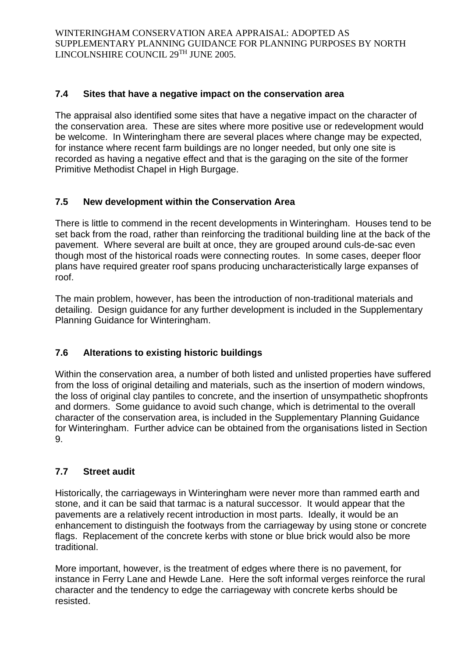## **7.4 Sites that have a negative impact on the conservation area**

The appraisal also identified some sites that have a negative impact on the character of the conservation area. These are sites where more positive use or redevelopment would be welcome. In Winteringham there are several places where change may be expected, for instance where recent farm buildings are no longer needed, but only one site is recorded as having a negative effect and that is the garaging on the site of the former Primitive Methodist Chapel in High Burgage.

# **7.5 New development within the Conservation Area**

There is little to commend in the recent developments in Winteringham. Houses tend to be set back from the road, rather than reinforcing the traditional building line at the back of the pavement. Where several are built at once, they are grouped around culs-de-sac even though most of the historical roads were connecting routes. In some cases, deeper floor plans have required greater roof spans producing uncharacteristically large expanses of roof.

The main problem, however, has been the introduction of non-traditional materials and detailing. Design guidance for any further development is included in the Supplementary Planning Guidance for Winteringham.

# **7.6 Alterations to existing historic buildings**

Within the conservation area, a number of both listed and unlisted properties have suffered from the loss of original detailing and materials, such as the insertion of modern windows, the loss of original clay pantiles to concrete, and the insertion of unsympathetic shopfronts and dormers. Some guidance to avoid such change, which is detrimental to the overall character of the conservation area, is included in the Supplementary Planning Guidance for Winteringham. Further advice can be obtained from the organisations listed in Section 9.

# **7.7 Street audit**

Historically, the carriageways in Winteringham were never more than rammed earth and stone, and it can be said that tarmac is a natural successor. It would appear that the pavements are a relatively recent introduction in most parts. Ideally, it would be an enhancement to distinguish the footways from the carriageway by using stone or concrete flags. Replacement of the concrete kerbs with stone or blue brick would also be more traditional.

More important, however, is the treatment of edges where there is no pavement, for instance in Ferry Lane and Hewde Lane. Here the soft informal verges reinforce the rural character and the tendency to edge the carriageway with concrete kerbs should be resisted.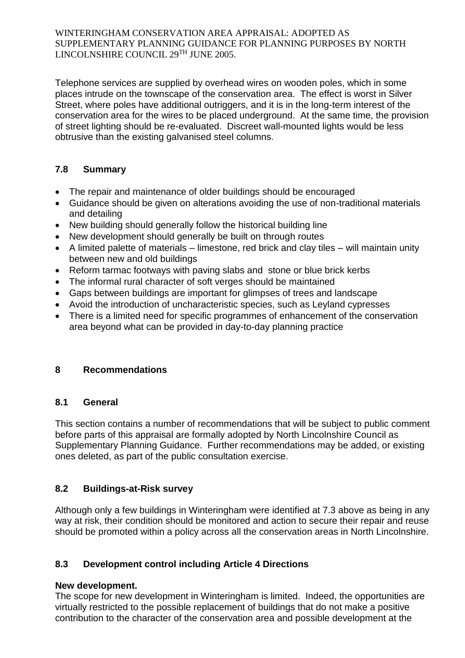Telephone services are supplied by overhead wires on wooden poles, which in some places intrude on the townscape of the conservation area. The effect is worst in Silver Street, where poles have additional outriggers, and it is in the long-term interest of the conservation area for the wires to be placed underground. At the same time, the provision of street lighting should be re-evaluated. Discreet wall-mounted lights would be less obtrusive than the existing galvanised steel columns.

# **7.8 Summary**

- The repair and maintenance of older buildings should be encouraged
- Guidance should be given on alterations avoiding the use of non-traditional materials and detailing
- New building should generally follow the historical building line
- New development should generally be built on through routes
- A limited palette of materials limestone, red brick and clay tiles will maintain unity between new and old buildings
- Reform tarmac footways with paving slabs and stone or blue brick kerbs
- The informal rural character of soft verges should be maintained
- Gaps between buildings are important for glimpses of trees and landscape
- Avoid the introduction of uncharacteristic species, such as Leyland cypresses
- There is a limited need for specific programmes of enhancement of the conservation area beyond what can be provided in day-to-day planning practice

# **8 Recommendations**

# **8.1 General**

This section contains a number of recommendations that will be subject to public comment before parts of this appraisal are formally adopted by North Lincolnshire Council as Supplementary Planning Guidance. Further recommendations may be added, or existing ones deleted, as part of the public consultation exercise.

# **8.2 Buildings-at-Risk survey**

Although only a few buildings in Winteringham were identified at 7.3 above as being in any way at risk, their condition should be monitored and action to secure their repair and reuse should be promoted within a policy across all the conservation areas in North Lincolnshire.

# **8.3 Development control including Article 4 Directions**

# **New development.**

The scope for new development in Winteringham is limited. Indeed, the opportunities are virtually restricted to the possible replacement of buildings that do not make a positive contribution to the character of the conservation area and possible development at the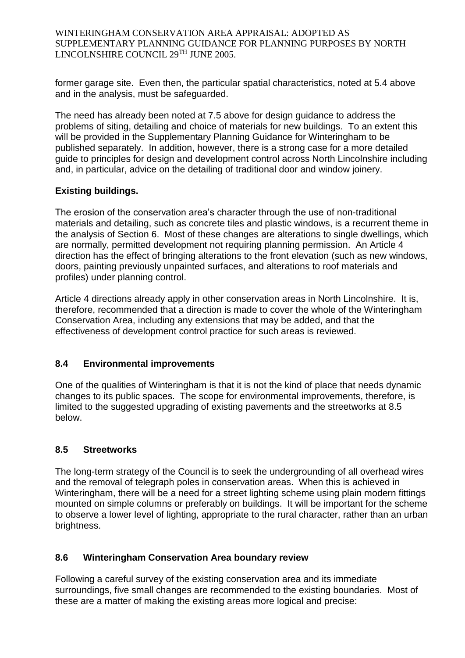former garage site. Even then, the particular spatial characteristics, noted at 5.4 above and in the analysis, must be safeguarded.

The need has already been noted at 7.5 above for design guidance to address the problems of siting, detailing and choice of materials for new buildings. To an extent this will be provided in the Supplementary Planning Guidance for Winteringham to be published separately. In addition, however, there is a strong case for a more detailed guide to principles for design and development control across North Lincolnshire including and, in particular, advice on the detailing of traditional door and window joinery.

# **Existing buildings.**

The erosion of the conservation area's character through the use of non-traditional materials and detailing, such as concrete tiles and plastic windows, is a recurrent theme in the analysis of Section 6. Most of these changes are alterations to single dwellings, which are normally, permitted development not requiring planning permission. An Article 4 direction has the effect of bringing alterations to the front elevation (such as new windows, doors, painting previously unpainted surfaces, and alterations to roof materials and profiles) under planning control.

Article 4 directions already apply in other conservation areas in North Lincolnshire. It is, therefore, recommended that a direction is made to cover the whole of the Winteringham Conservation Area, including any extensions that may be added, and that the effectiveness of development control practice for such areas is reviewed.

# **8.4 Environmental improvements**

One of the qualities of Winteringham is that it is not the kind of place that needs dynamic changes to its public spaces. The scope for environmental improvements, therefore, is limited to the suggested upgrading of existing pavements and the streetworks at 8.5 below.

# **8.5 Streetworks**

The long-term strategy of the Council is to seek the undergrounding of all overhead wires and the removal of telegraph poles in conservation areas. When this is achieved in Winteringham, there will be a need for a street lighting scheme using plain modern fittings mounted on simple columns or preferably on buildings. It will be important for the scheme to observe a lower level of lighting, appropriate to the rural character, rather than an urban brightness.

# **8.6 Winteringham Conservation Area boundary review**

Following a careful survey of the existing conservation area and its immediate surroundings, five small changes are recommended to the existing boundaries. Most of these are a matter of making the existing areas more logical and precise: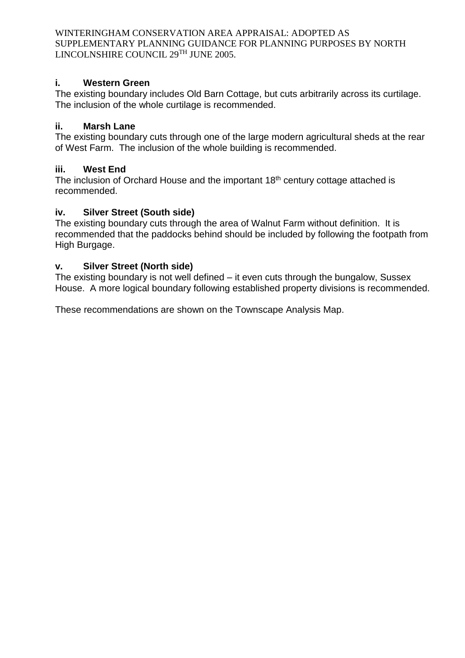# **i. Western Green**

The existing boundary includes Old Barn Cottage, but cuts arbitrarily across its curtilage. The inclusion of the whole curtilage is recommended.

# **ii. Marsh Lane**

The existing boundary cuts through one of the large modern agricultural sheds at the rear of West Farm. The inclusion of the whole building is recommended.

# **iii. West End**

The inclusion of Orchard House and the important 18<sup>th</sup> century cottage attached is recommended.

## **iv. Silver Street (South side)**

The existing boundary cuts through the area of Walnut Farm without definition. It is recommended that the paddocks behind should be included by following the footpath from High Burgage.

## **v. Silver Street (North side)**

The existing boundary is not well defined – it even cuts through the bungalow, Sussex House. A more logical boundary following established property divisions is recommended.

These recommendations are shown on the Townscape Analysis Map.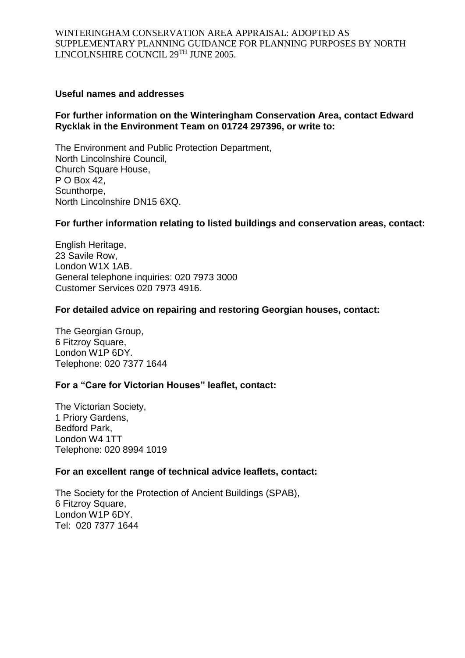## **Useful names and addresses**

## **For further information on the Winteringham Conservation Area, contact Edward Rycklak in the Environment Team on 01724 297396, or write to:**

The Environment and Public Protection Department, North Lincolnshire Council, Church Square House, P O Box 42, Scunthorpe, North Lincolnshire DN15 6XQ.

## **For further information relating to listed buildings and conservation areas, contact:**

English Heritage, 23 Savile Row, London W1X 1AB. General telephone inquiries: 020 7973 3000 Customer Services 020 7973 4916.

## **For detailed advice on repairing and restoring Georgian houses, contact:**

The Georgian Group, 6 Fitzroy Square, London W1P 6DY. Telephone: 020 7377 1644

## **For a "Care for Victorian Houses" leaflet, contact:**

The Victorian Society, 1 Priory Gardens, Bedford Park, London W4 1TT Telephone: 020 8994 1019

#### **For an excellent range of technical advice leaflets, contact:**

The Society for the Protection of Ancient Buildings (SPAB), 6 Fitzroy Square, London W1P 6DY. Tel: 020 7377 1644